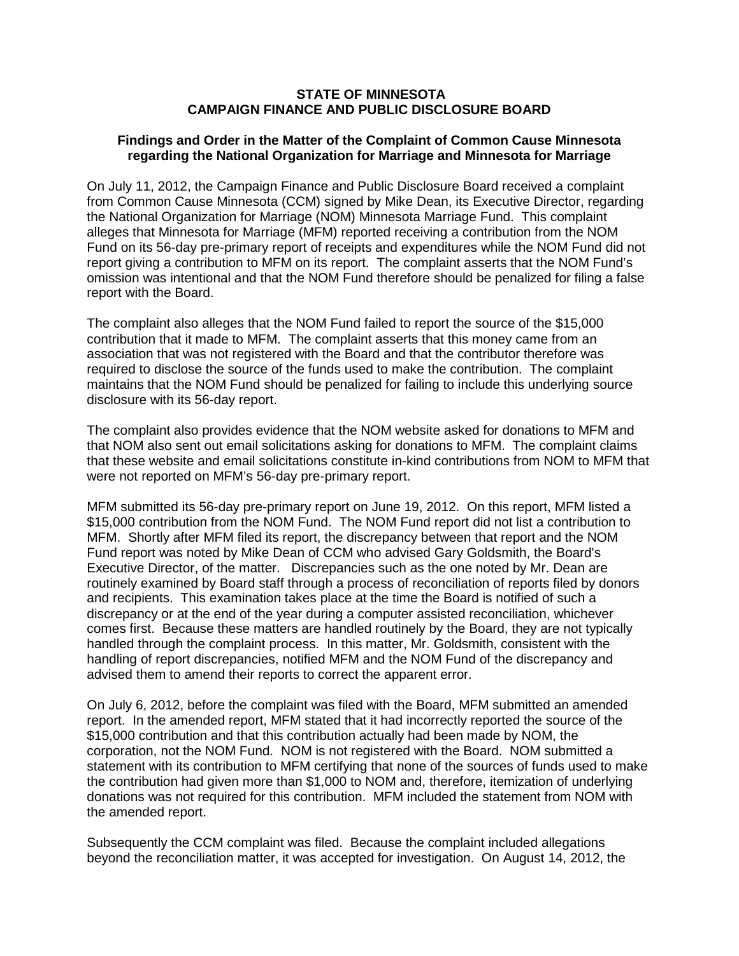### **STATE OF MINNESOTA CAMPAIGN FINANCE AND PUBLIC DISCLOSURE BOARD**

### **Findings and Order in the Matter of the Complaint of Common Cause Minnesota regarding the National Organization for Marriage and Minnesota for Marriage**

On July 11, 2012, the Campaign Finance and Public Disclosure Board received a complaint from Common Cause Minnesota (CCM) signed by Mike Dean, its Executive Director, regarding the National Organization for Marriage (NOM) Minnesota Marriage Fund. This complaint alleges that Minnesota for Marriage (MFM) reported receiving a contribution from the NOM Fund on its 56-day pre-primary report of receipts and expenditures while the NOM Fund did not report giving a contribution to MFM on its report. The complaint asserts that the NOM Fund's omission was intentional and that the NOM Fund therefore should be penalized for filing a false report with the Board.

The complaint also alleges that the NOM Fund failed to report the source of the \$15,000 contribution that it made to MFM. The complaint asserts that this money came from an association that was not registered with the Board and that the contributor therefore was required to disclose the source of the funds used to make the contribution. The complaint maintains that the NOM Fund should be penalized for failing to include this underlying source disclosure with its 56-day report.

The complaint also provides evidence that the NOM website asked for donations to MFM and that NOM also sent out email solicitations asking for donations to MFM. The complaint claims that these website and email solicitations constitute in-kind contributions from NOM to MFM that were not reported on MFM's 56-day pre-primary report.

MFM submitted its 56-day pre-primary report on June 19, 2012. On this report, MFM listed a \$15,000 contribution from the NOM Fund. The NOM Fund report did not list a contribution to MFM. Shortly after MFM filed its report, the discrepancy between that report and the NOM Fund report was noted by Mike Dean of CCM who advised Gary Goldsmith, the Board's Executive Director, of the matter. Discrepancies such as the one noted by Mr. Dean are routinely examined by Board staff through a process of reconciliation of reports filed by donors and recipients. This examination takes place at the time the Board is notified of such a discrepancy or at the end of the year during a computer assisted reconciliation, whichever comes first. Because these matters are handled routinely by the Board, they are not typically handled through the complaint process. In this matter, Mr. Goldsmith, consistent with the handling of report discrepancies, notified MFM and the NOM Fund of the discrepancy and advised them to amend their reports to correct the apparent error.

On July 6, 2012, before the complaint was filed with the Board, MFM submitted an amended report. In the amended report, MFM stated that it had incorrectly reported the source of the \$15,000 contribution and that this contribution actually had been made by NOM, the corporation, not the NOM Fund. NOM is not registered with the Board. NOM submitted a statement with its contribution to MFM certifying that none of the sources of funds used to make the contribution had given more than \$1,000 to NOM and, therefore, itemization of underlying donations was not required for this contribution. MFM included the statement from NOM with the amended report.

Subsequently the CCM complaint was filed. Because the complaint included allegations beyond the reconciliation matter, it was accepted for investigation. On August 14, 2012, the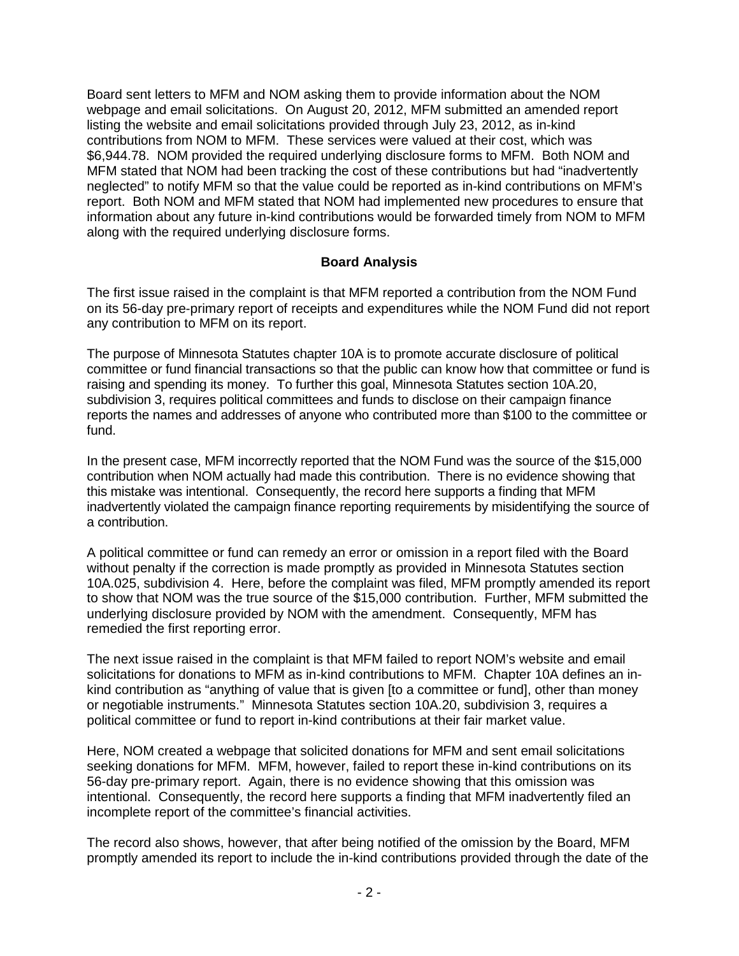Board sent letters to MFM and NOM asking them to provide information about the NOM webpage and email solicitations. On August 20, 2012, MFM submitted an amended report listing the website and email solicitations provided through July 23, 2012, as in-kind contributions from NOM to MFM. These services were valued at their cost, which was \$6,944.78. NOM provided the required underlying disclosure forms to MFM. Both NOM and MFM stated that NOM had been tracking the cost of these contributions but had "inadvertently neglected" to notify MFM so that the value could be reported as in-kind contributions on MFM's report. Both NOM and MFM stated that NOM had implemented new procedures to ensure that information about any future in-kind contributions would be forwarded timely from NOM to MFM along with the required underlying disclosure forms.

### **Board Analysis**

The first issue raised in the complaint is that MFM reported a contribution from the NOM Fund on its 56-day pre-primary report of receipts and expenditures while the NOM Fund did not report any contribution to MFM on its report.

The purpose of Minnesota Statutes chapter 10A is to promote accurate disclosure of political committee or fund financial transactions so that the public can know how that committee or fund is raising and spending its money. To further this goal, Minnesota Statutes section 10A.20, subdivision 3, requires political committees and funds to disclose on their campaign finance reports the names and addresses of anyone who contributed more than \$100 to the committee or fund.

In the present case, MFM incorrectly reported that the NOM Fund was the source of the \$15,000 contribution when NOM actually had made this contribution. There is no evidence showing that this mistake was intentional. Consequently, the record here supports a finding that MFM inadvertently violated the campaign finance reporting requirements by misidentifying the source of a contribution.

A political committee or fund can remedy an error or omission in a report filed with the Board without penalty if the correction is made promptly as provided in Minnesota Statutes section 10A.025, subdivision 4. Here, before the complaint was filed, MFM promptly amended its report to show that NOM was the true source of the \$15,000 contribution. Further, MFM submitted the underlying disclosure provided by NOM with the amendment. Consequently, MFM has remedied the first reporting error.

The next issue raised in the complaint is that MFM failed to report NOM's website and email solicitations for donations to MFM as in-kind contributions to MFM. Chapter 10A defines an inkind contribution as "anything of value that is given [to a committee or fund], other than money or negotiable instruments." Minnesota Statutes section 10A.20, subdivision 3, requires a political committee or fund to report in-kind contributions at their fair market value.

Here, NOM created a webpage that solicited donations for MFM and sent email solicitations seeking donations for MFM. MFM, however, failed to report these in-kind contributions on its 56-day pre-primary report. Again, there is no evidence showing that this omission was intentional. Consequently, the record here supports a finding that MFM inadvertently filed an incomplete report of the committee's financial activities.

The record also shows, however, that after being notified of the omission by the Board, MFM promptly amended its report to include the in-kind contributions provided through the date of the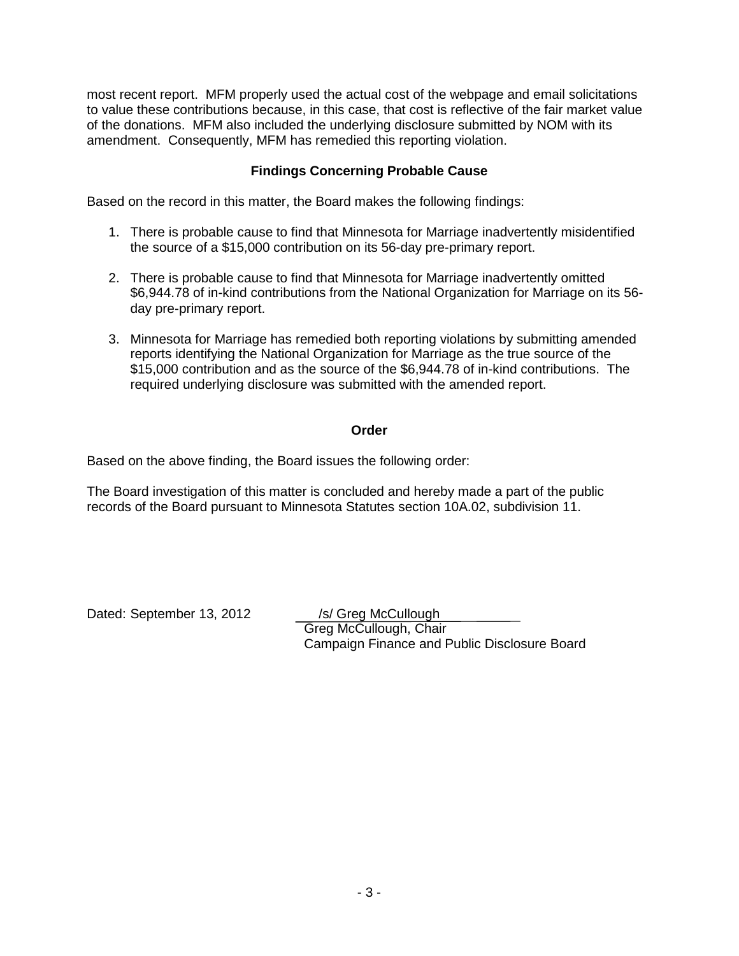most recent report. MFM properly used the actual cost of the webpage and email solicitations to value these contributions because, in this case, that cost is reflective of the fair market value of the donations. MFM also included the underlying disclosure submitted by NOM with its amendment. Consequently, MFM has remedied this reporting violation.

## **Findings Concerning Probable Cause**

Based on the record in this matter, the Board makes the following findings:

- 1. There is probable cause to find that Minnesota for Marriage inadvertently misidentified the source of a \$15,000 contribution on its 56-day pre-primary report.
- 2. There is probable cause to find that Minnesota for Marriage inadvertently omitted \$6,944.78 of in-kind contributions from the National Organization for Marriage on its 56 day pre-primary report.
- 3. Minnesota for Marriage has remedied both reporting violations by submitting amended reports identifying the National Organization for Marriage as the true source of the \$15,000 contribution and as the source of the \$6,944.78 of in-kind contributions. The required underlying disclosure was submitted with the amended report.

### **Order**

Based on the above finding, the Board issues the following order:

The Board investigation of this matter is concluded and hereby made a part of the public records of the Board pursuant to Minnesota Statutes section 10A.02, subdivision 11.

Dated: September 13, 2012 /s/ Greg McCullough

Greg McCullough, Chair Campaign Finance and Public Disclosure Board